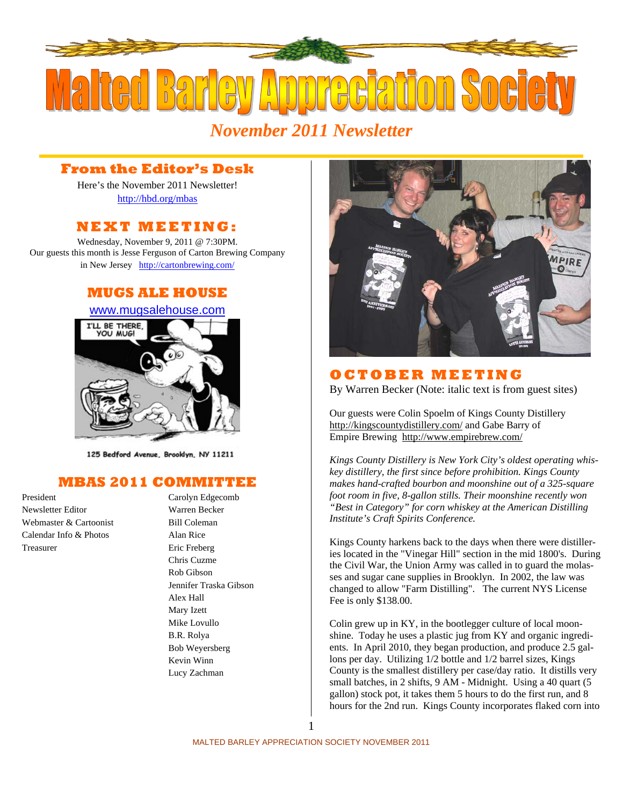

*November 2011 Newsletter* 

### **From the Editor's Desk**

Here's the November 2011 Newsletter! http://hbd.org/mbas

### **NEXT MEETING:**

Wednesday, November 9, 2011 @ 7:30PM. Our guests this month is Jesse Ferguson of Carton Brewing Company in New Jersey http://cartonbrewing.com/

## **MUGS ALE HOUSE**



125 Bedford Avenue, Brooklyn, NY 11211

## **MBAS 2011 COMMITTEE**

Newsletter Editor Warren Becker Webmaster & Cartoonist Bill Coleman Calendar Info & Photos Alan Rice Treasurer Eric Freberg

# President Carolyn Edgecomb Chris Cuzme Rob Gibson Jennifer Traska Gibson Alex Hall Mary Izett Mike Lovullo B.R. Rolya Bob Weyersberg Kevin Winn Lucy Zachman



### **OCTOBER MEETING**

By Warren Becker (Note: italic text is from guest sites)

Our guests were Colin Spoelm of Kings County Distillery http://kingscountydistillery.com/ and Gabe Barry of Empire Brewing http://www.empirebrew.com/

*Kings County Distillery is New York City's oldest operating whiskey distillery, the first since before prohibition. Kings County makes hand-crafted bourbon and moonshine out of a 325-square foot room in five, 8-gallon stills. Their moonshine recently won "Best in Category" for corn whiskey at the American Distilling Institute's Craft Spirits Conference.* 

Kings County harkens back to the days when there were distilleries located in the "Vinegar Hill" section in the mid 1800's. During the Civil War, the Union Army was called in to guard the molasses and sugar cane supplies in Brooklyn. In 2002, the law was changed to allow "Farm Distilling". The current NYS License Fee is only \$138.00.

Colin grew up in KY, in the bootlegger culture of local moonshine. Today he uses a plastic jug from KY and organic ingredients. In April 2010, they began production, and produce 2.5 gallons per day. Utilizing 1/2 bottle and 1/2 barrel sizes, Kings County is the smallest distillery per case/day ratio. It distills very small batches, in 2 shifts, 9 AM - Midnight. Using a 40 quart (5 gallon) stock pot, it takes them 5 hours to do the first run, and 8 hours for the 2nd run. Kings County incorporates flaked corn into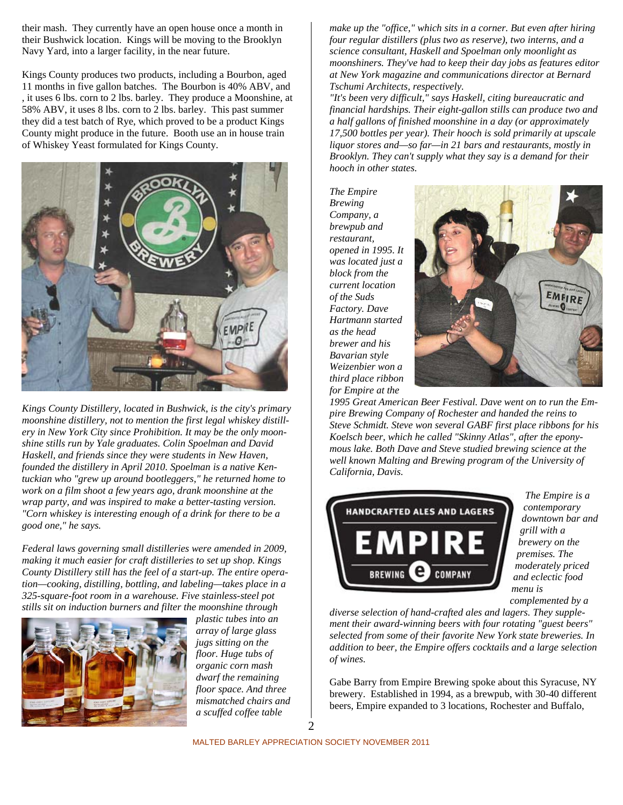their mash. They currently have an open house once a month in their Bushwick location. Kings will be moving to the Brooklyn Navy Yard, into a larger facility, in the near future.

Kings County produces two products, including a Bourbon, aged 11 months in five gallon batches. The Bourbon is 40% ABV, and , it uses 6 lbs. corn to 2 lbs. barley. They produce a Moonshine, at 58% ABV, it uses 8 lbs. corn to 2 lbs. barley. This past summer they did a test batch of Rye, which proved to be a product Kings County might produce in the future. Booth use an in house train of Whiskey Yeast formulated for Kings County.



*Kings County Distillery, located in Bushwick, is the city's primary moonshine distillery, not to mention the first legal whiskey distillery in New York City since Prohibition. It may be the only moonshine stills run by Yale graduates. Colin Spoelman and David Haskell, and friends since they were students in New Haven, founded the distillery in April 2010. Spoelman is a native Kentuckian who "grew up around bootleggers," he returned home to work on a film shoot a few years ago, drank moonshine at the wrap party, and was inspired to make a better-tasting version. "Corn whiskey is interesting enough of a drink for there to be a good one," he says.* 

*Federal laws governing small distilleries were amended in 2009, making it much easier for craft distilleries to set up shop. Kings County Distillery still has the feel of a start-up. The entire operation—cooking, distilling, bottling, and labeling—takes place in a 325-square-foot room in a warehouse. Five stainless-steel pot stills sit on induction burners and filter the moonshine through* 



*plastic tubes into an array of large glass jugs sitting on the floor. Huge tubs of organic corn mash dwarf the remaining floor space. And three mismatched chairs and a scuffed coffee table* 

*make up the "office," which sits in a corner. But even after hiring four regular distillers (plus two as reserve), two interns, and a science consultant, Haskell and Spoelman only moonlight as moonshiners. They've had to keep their day jobs as features editor at New York magazine and communications director at Bernard Tschumi Architects, respectively.* 

*"It's been very difficult," says Haskell, citing bureaucratic and financial hardships. Their eight-gallon stills can produce two and a half gallons of finished moonshine in a day (or approximately 17,500 bottles per year). Their hooch is sold primarily at upscale liquor stores and—so far—in 21 bars and restaurants, mostly in Brooklyn. They can't supply what they say is a demand for their hooch in other states.* 

*The Empire Brewing Company, a brewpub and restaurant, opened in 1995. It was located just a block from the current location of the Suds Factory. Dave Hartmann started as the head brewer and his Bavarian style Weizenbier won a third place ribbon for Empire at the* 



*1995 Great American Beer Festival. Dave went on to run the Empire Brewing Company of Rochester and handed the reins to Steve Schmidt. Steve won several GABF first place ribbons for his Koelsch beer, which he called "Skinny Atlas", after the eponymous lake. Both Dave and Steve studied brewing science at the well known Malting and Brewing program of the University of California, Davis.* 



*The Empire is a contemporary downtown bar and grill with a brewery on the premises. The moderately priced and eclectic food menu is complemented by a* 

*diverse selection of hand-crafted ales and lagers. They supplement their award-winning beers with four rotating "guest beers" selected from some of their favorite New York state breweries. In addition to beer, the Empire offers cocktails and a large selection of wines.* 

Gabe Barry from Empire Brewing spoke about this Syracuse, NY brewery. Established in 1994, as a brewpub, with 30-40 different beers, Empire expanded to 3 locations, Rochester and Buffalo,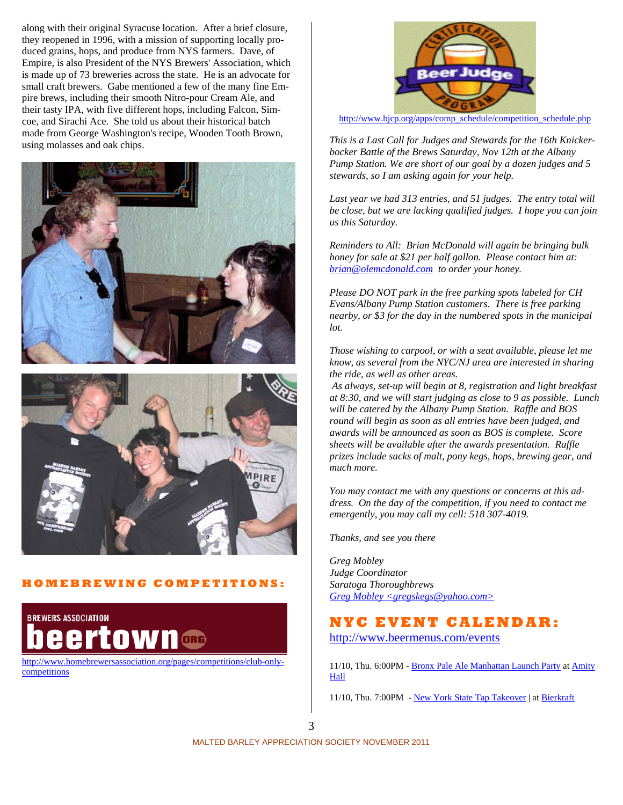along with their original Syracuse location. After a brief closure, they reopened in 1996, with a mission of supporting locally produced grains, hops, and produce from NYS farmers. Dave, of Empire, is also President of the NYS Brewers' Association, which is made up of 73 breweries across the state. He is an advocate for small craft brewers. Gabe mentioned a few of the many fine Empire brews, including their smooth Nitro-pour Cream Ale, and their tasty IPA, with five different hops, including Falcon, Simcoe, and Sirachi Ace. She told us about their historical batch made from George Washington's recipe, Wooden Tooth Brown, using molasses and oak chips.





### **HOMEBREWING COMPETITIONS:**



http://www.homebrewersassociation.org/pages/competitions/club-onlycompetitions



http://www.bjcp.org/apps/comp\_schedule/competition\_schedule.php

*This is a Last Call for Judges and Stewards for the 16th Knickerbocker Battle of the Brews Saturday, Nov 12th at the Albany Pump Station. We are short of our goal by a dozen judges and 5 stewards, so I am asking again for your help.* 

*Last year we had 313 entries, and 51 judges. The entry total will be close, but we are lacking qualified judges. I hope you can join us this Saturday.* 

*Reminders to All: Brian McDonald will again be bringing bulk honey for sale at \$21 per half gallon. Please contact him at: brian@olemcdonald.com to order your honey.* 

*Please DO NOT park in the free parking spots labeled for CH Evans/Albany Pump Station customers. There is free parking nearby, or \$3 for the day in the numbered spots in the municipal lot.* 

*Those wishing to carpool, or with a seat available, please let me know, as several from the NYC/NJ area are interested in sharing the ride, as well as other areas.* 

 *As always, set-up will begin at 8, registration and light breakfast at 8:30, and we will start judging as close to 9 as possible. Lunch will be catered by the Albany Pump Station. Raffle and BOS round will begin as soon as all entries have been judged, and awards will be announced as soon as BOS is complete. Score sheets will be available after the awards presentation. Raffle prizes include sacks of malt, pony kegs, hops, brewing gear, and much more.* 

*You may contact me with any questions or concerns at this address. On the day of the competition, if you need to contact me emergently, you may call my cell: 518 307-4019.* 

*Thanks, and see you there* 

*Greg Mobley Judge Coordinator Saratoga Thoroughbrews Greg Mobley <gregskegs@yahoo.com>*

### **NYC EVENT CALENDAR:**

http://www.beermenus.com/events

11/10, Thu. 6:00PM - Bronx Pale Ale Manhattan Launch Party at Amity Hall

11/10, Thu. 7:00PM - New York State Tap Takeover | at Bierkraft